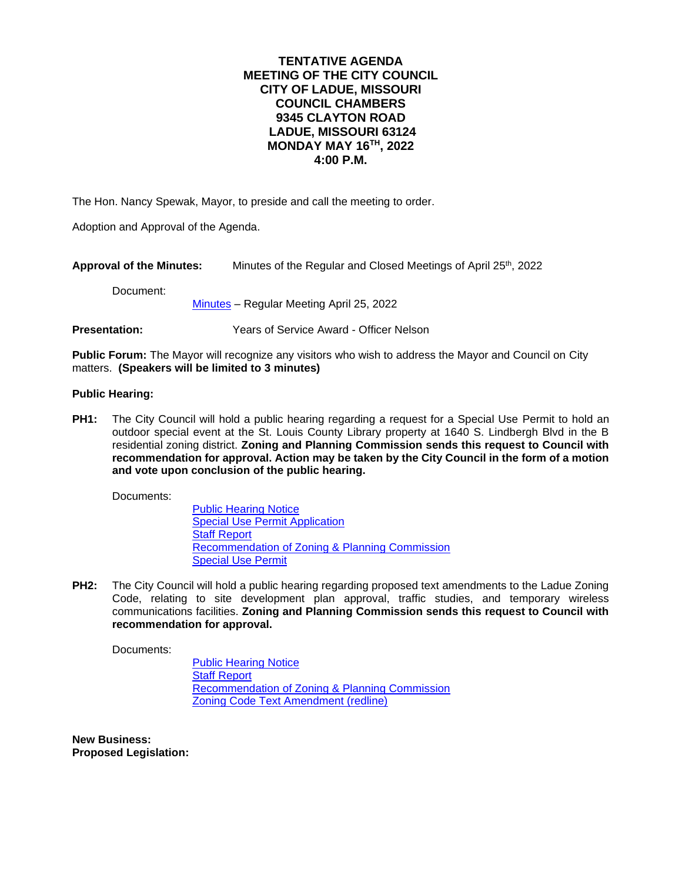# **TENTATIVE AGENDA MEETING OF THE CITY COUNCIL CITY OF LADUE, MISSOURI COUNCIL CHAMBERS 9345 CLAYTON ROAD LADUE, MISSOURI 63124 MONDAY MAY 16TH , 2022 4:00 P.M.**

The Hon. Nancy Spewak, Mayor, to preside and call the meeting to order.

Adoption and Approval of the Agenda.

Approval of the Minutes: Minutes of the Regular and Closed Meetings of April 25<sup>th</sup>, 2022

Document:

[Minutes](https://www.cityofladue-mo.gov/mm/files/2022/Council%20Packets/2022-05-16/V2%202022-04-25%20Draft%20Minutes.pdf) – Regular Meeting April 25, 2022

**Presentation:** Years of Service Award - Officer Nelson

**Public Forum:** The Mayor will recognize any visitors who wish to address the Mayor and Council on City matters. **(Speakers will be limited to 3 minutes)**

## **Public Hearing:**

**PH1:** The City Council will hold a public hearing regarding a request for a Special Use Permit to hold an outdoor special event at the St. Louis County Library property at 1640 S. Lindbergh Blvd in the B residential zoning district. **Zoning and Planning Commission sends this request to Council with recommendation for approval. Action may be taken by the City Council in the form of a motion and vote upon conclusion of the public hearing.**

Documents:

[Public Hearing Notice](https://www.cityofladue-mo.gov/mm/files/2022/Council%20Packets/2022-05-16/CC%20PH%205-16-22.pdf) [Special Use Permit Application](https://www.cityofladue-mo.gov/mm/files/2022/Council%20Packets/2022-05-16/SUP%20application%20-%20Library%20event.pdf) [Staff Report](https://www.cityofladue-mo.gov/mm/files/2022/Council%20Packets/2022-05-16/Library%20event%20SUP%20staff%20report%20cc.pdf) [Recommendation of Zoning & Planning Commission](https://www.cityofladue-mo.gov/mm/files/2022/Council%20Packets/2022-05-16/ZP%20Recommendation%20Library.pdf) [Special Use Permit](https://www.cityofladue-mo.gov/mm/files/2022/Council%20Packets/2022-05-16/Final%20SUP%20w%20app.pdf)

**PH2:** The City Council will hold a public hearing regarding proposed text amendments to the Ladue Zoning Code, relating to site development plan approval, traffic studies, and temporary wireless communications facilities. **Zoning and Planning Commission sends this request to Council with recommendation for approval.**

Documents:

[Public Hearing Notice](https://www.cityofladue-mo.gov/mm/files/2022/Council%20Packets/2022-05-16/CC%20PH%205-16-22%20text%20amendment.pdf) **[Staff Report](https://www.cityofladue-mo.gov/mm/files/2022/Council%20Packets/2022-05-16/Staff%20Memo%20re%20text%20amendments%205-10%20cc.pdf)** [Recommendation of Zoning & Planning Commission](https://www.cityofladue-mo.gov/mm/files/2022/Council%20Packets/2022-05-16/ZP%20Commission%20memo%20text%20amend%205-10.pdf) [Zoning Code Text Amendment \(redline\)](https://www.cityofladue-mo.gov/mm/files/2022/Council%20Packets/2022-05-16/Zoning%20Code%20Text%20Amendment%205-10%20-%20redline.pdf)

**New Business: Proposed Legislation:**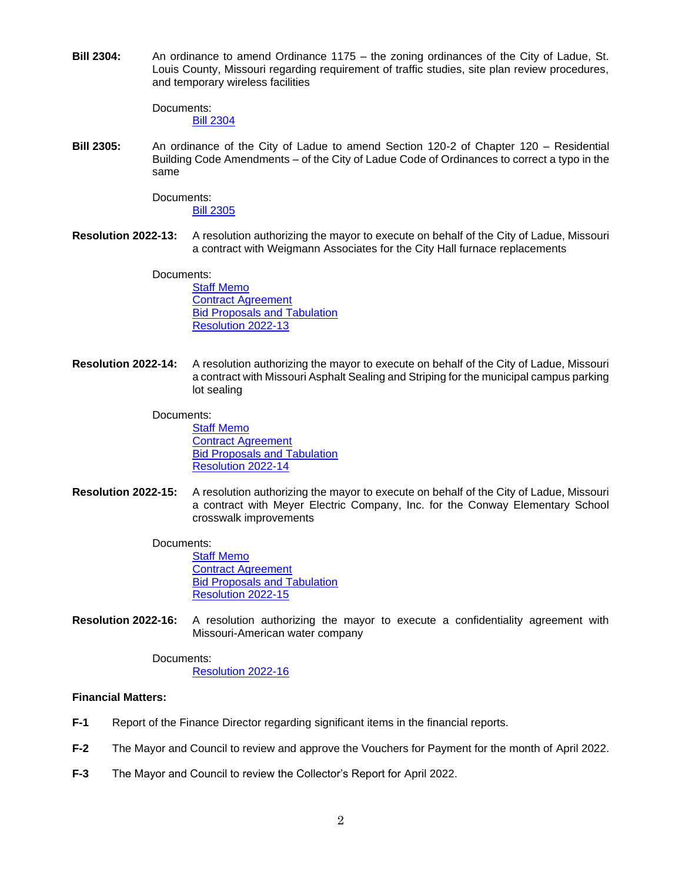**Bill 2304:** An ordinance to amend Ordinance 1175 – the zoning ordinances of the City of Ladue, St. Louis County, Missouri regarding requirement of traffic studies, site plan review procedures, and temporary wireless facilities

> Documents: [Bill 2304](https://www.cityofladue-mo.gov/mm/files/2022/Council%20Packets/2022-05-16/Bill%202304%20Temporary%20Wireless%20Facilities.pdf)

**Bill 2305:** An ordinance of the City of Ladue to amend Section 120-2 of Chapter 120 – Residential Building Code Amendments – of the City of Ladue Code of Ordinances to correct a typo in the same

Documents:

[Bill 2305](https://www.cityofladue-mo.gov/mm/files/2022/Council%20Packets/2022-05-16/Bill%202305%20-%20Trustee%20Notification.pdf)

**Resolution 2022-13:** A resolution authorizing the mayor to execute on behalf of the City of Ladue, Missouri a contract with Weigmann Associates for the City Hall furnace replacements

> Documents: [Staff Memo](https://www.cityofladue-mo.gov/mm/files/2022/Council%20Packets/2022-05-16/2022-13%20Memo.pdf) [Contract Agreement](https://www.cityofladue-mo.gov/mm/files/2022/Council%20Packets/2022-05-16/2022-13%20Contract.pdf) [Bid Proposals and Tabulation](https://www.cityofladue-mo.gov/mm/files/2022/Council%20Packets/2022-05-16/2022-13%20Bids.pdf) [Resolution 2022-13](https://www.cityofladue-mo.gov/mm/files/2022/Council%20Packets/2022-05-16/2022-13%20Resolution.pdf)

**Resolution 2022-14:** A resolution authorizing the mayor to execute on behalf of the City of Ladue, Missouri a contract with Missouri Asphalt Sealing and Striping for the municipal campus parking lot sealing

Documents:

[Staff Memo](https://www.cityofladue-mo.gov/mm/files/2022/Council%20Packets/2022-05-16/2022-14%20Memo.pdf) [Contract Agreement](https://www.cityofladue-mo.gov/mm/files/2022/Council%20Packets/2022-05-16/2022-14%20Contract%20Agreement.pdf) **[Bid Proposals and Tabulation](https://www.cityofladue-mo.gov/mm/files/2022/Council%20Packets/2022-05-16/2022-14%20Bids.pdf)** [Resolution 2022-14](https://www.cityofladue-mo.gov/mm/files/2022/Council%20Packets/2022-05-16/2022-14%20Resolution.pdf)

**Resolution 2022-15:** A resolution authorizing the mayor to execute on behalf of the City of Ladue, Missouri a contract with Meyer Electric Company, Inc. for the Conway Elementary School crosswalk improvements

## Documents:

[Staff Memo](https://www.cityofladue-mo.gov/mm/files/2022/Council%20Packets/2022-05-16/2022-15%20Memo.pdf) [Contract Agreement](https://www.cityofladue-mo.gov/mm/files/2022/Council%20Packets/2022-05-16/2022-15%20Contract.pdf) [Bid Proposals and Tabulation](https://www.cityofladue-mo.gov/mm/files/2022/Council%20Packets/2022-05-16/2022-15%20Bids.pdf) [Resolution 2022-15](https://www.cityofladue-mo.gov/mm/files/2022/Council%20Packets/2022-05-16/2022-15%20Resolution.pdf)

**Resolution 2022-16:** A resolution authorizing the mayor to execute a confidentiality agreement with Missouri-American water company

> Documents: [Resolution 2022-16](https://www.cityofladue-mo.gov/mm/files/2022/Council%20Packets/2022-05-16/Res.%202022-16%20Authorizing%20MOAW%20Confidentiality%20Agreement.pdf)

## **Financial Matters:**

- **F-1** Report of the Finance Director regarding significant items in the financial reports.
- **F-2** The Mayor and Council to review and approve the Vouchers for Payment for the month of April 2022.
- **F-3** The Mayor and Council to review the Collector's Report for April 2022.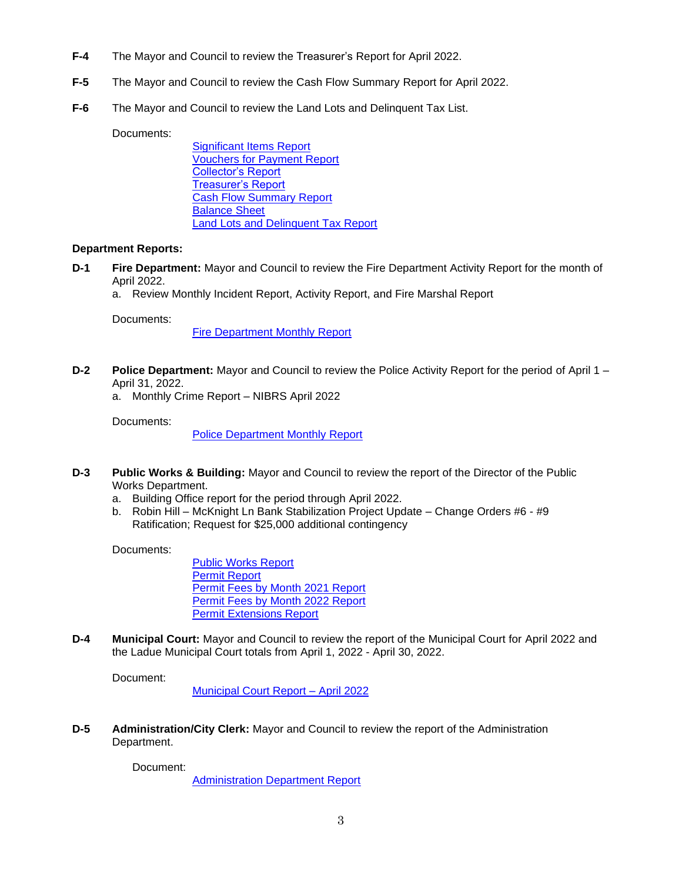- **F-4** The Mayor and Council to review the Treasurer's Report for April 2022.
- **F-5** The Mayor and Council to review the Cash Flow Summary Report for April 2022.
- **F-6** The Mayor and Council to review the Land Lots and Delinquent Tax List.

#### Documents:

[Significant Items Report](https://www.cityofladue-mo.gov/mm/files/2022/Council%20Packets/2022-05-16/Finance%20Highlights.pdf) [Vouchers for Payment Report](https://www.cityofladue-mo.gov/mm/files/2022/Council%20Packets/2022-05-16/End%20of%20Month.pdf) [Collector's Report](https://www.cityofladue-mo.gov/mm/files/2022/Council%20Packets/2022-05-16/Collector) [Treasurer's Report](https://www.cityofladue-mo.gov/mm/files/2022/Council%20Packets/2022-05-16/Treasurer) [Cash Flow Summary Report](https://www.cityofladue-mo.gov/mm/files/2022/Council%20Packets/2022-05-16/April%202022%20Statement%20of%20Cash%20Flows.pdf) [Balance Sheet](https://www.cityofladue-mo.gov/mm/files/2022/Council%20Packets/2022-05-16/April%202022%20Balance%20Sheet.pdf) [Land Lots and Delinquent Tax Report](https://www.cityofladue-mo.gov/mm/files/2022/Council%20Packets/2022-05-16/Land%20Lots%20and%20Delinquent%20Tax%20Report%2004%202022.pdf)

## **Department Reports:**

- **D-1 Fire Department:** Mayor and Council to review the Fire Department Activity Report for the month of April 2022.
	- a. Review Monthly Incident Report, Activity Report, and Fire Marshal Report

## Documents:

[Fire Department Monthly](https://www.cityofladue-mo.gov/mm/files/2022/Council%20Packets/2022-05-16/Fire%20Council%20Packet%205.16.2022.pdf) Report

**D-2 Police Department:** Mayor and Council to review the Police Activity Report for the period of April 1 – April 31, 2022.

a. Monthly Crime Report – NIBRS April 2022

Documents:

[Police Department Monthly Report](https://www.cityofladue-mo.gov/mm/files/2022/Council%20Packets/2022-05-16/PD%20City%20Council%20Agenda%20May%2016.pdf)

- **D-3 Public Works & Building:** Mayor and Council to review the report of the Director of the Public Works Department.
	- a. Building Office report for the period through April 2022.
	- b. Robin Hill McKnight Ln Bank Stabilization Project Update Change Orders #6 #9 Ratification; Request for \$25,000 additional contingency

Documents:

[Public Works Report](https://www.cityofladue-mo.gov/mm/files/2022/Council%20Packets/2022-05-16/compiled%20for%20packet.pdf) [Permit Report](https://www.cityofladue-mo.gov/mm/files/2022/Council%20Packets/2022-05-16/Council%20Permit%20Report-%20April%202022.pdf) [Permit Fees by Month 2021](https://www.cityofladue-mo.gov/mm/files/2022/Council%20Packets/2022-05-16/Permit%20fees%202021.pdf) Report [Permit Fees by Month 2022](https://www.cityofladue-mo.gov/mm/files/2022/Council%20Packets/2022-05-16/Permit%20fees%20by%20month-%20April%202022.pdf) Report [Permit Extensions Report](https://www.cityofladue-mo.gov/mm/files/2022/Council%20Packets/2022-05-16/Permit%20Extensions%20April%202022.pdf)

**D-4 Municipal Court:** Mayor and Council to review the report of the Municipal Court for April 2022 and the Ladue Municipal Court totals from April 1, 2022 - April 30, 2022.

Document:

[Municipal Court Report](https://www.cityofladue-mo.gov/mm/files/2022/Council%20Packets/2022-05-16/Courts%20April%20Report.pdf) – April 2022

**D-5 Administration/City Clerk:** Mayor and Council to review the report of the Administration Department.

Document:

[Administration Department Report](https://www.cityofladue-mo.gov/mm/files/2022/Council%20Packets/2022-05-16/2022-05-16%20Admin%20Report.pdf)